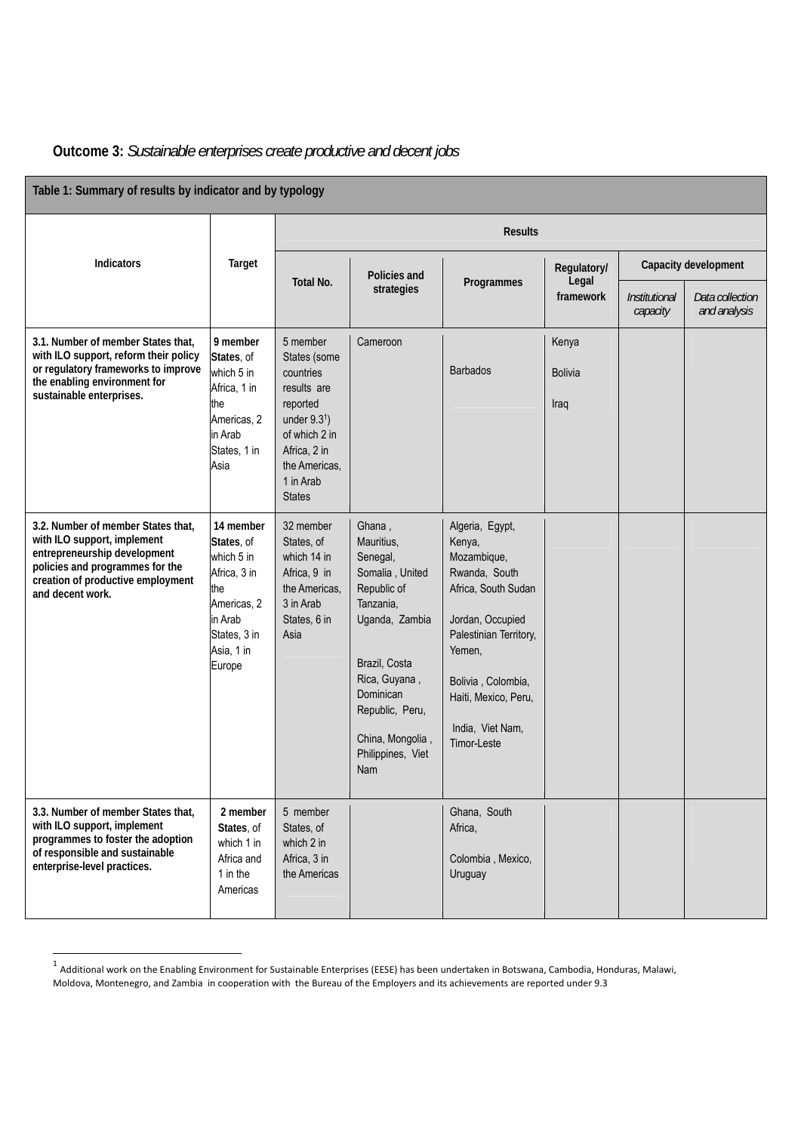| Table 1: Summary of results by indicator and by typology                                                                                                                                      |                                                                                                                                |                                                                                                                                                                    |                                                                                                                                                                                                                     |                                                                                                                                                                                                                           |                                   |                           |                                 |
|-----------------------------------------------------------------------------------------------------------------------------------------------------------------------------------------------|--------------------------------------------------------------------------------------------------------------------------------|--------------------------------------------------------------------------------------------------------------------------------------------------------------------|---------------------------------------------------------------------------------------------------------------------------------------------------------------------------------------------------------------------|---------------------------------------------------------------------------------------------------------------------------------------------------------------------------------------------------------------------------|-----------------------------------|---------------------------|---------------------------------|
|                                                                                                                                                                                               | Target                                                                                                                         | <b>Results</b>                                                                                                                                                     |                                                                                                                                                                                                                     |                                                                                                                                                                                                                           |                                   |                           |                                 |
| <b>Indicators</b>                                                                                                                                                                             |                                                                                                                                | Total No.                                                                                                                                                          | Policies and<br>strategies                                                                                                                                                                                          | Programmes                                                                                                                                                                                                                | Regulatory/<br>Legal<br>framework | Capacity development      |                                 |
|                                                                                                                                                                                               |                                                                                                                                |                                                                                                                                                                    |                                                                                                                                                                                                                     |                                                                                                                                                                                                                           |                                   | Institutional<br>capacity | Data collection<br>and analysis |
| 3.1. Number of member States that,<br>with ILO support, reform their policy<br>or regulatory frameworks to improve<br>the enabling environment for<br>sustainable enterprises.                | 9 member<br>States, of<br>which 5 in<br>Africa, 1 in<br>the<br>Americas, 2<br>in Arab<br>States, 1 in<br>Asia                  | 5 member<br>States (some<br>countries<br>results are<br>reported<br>under $9.31$ )<br>of which 2 in<br>Africa, 2 in<br>the Americas,<br>1 in Arab<br><b>States</b> | Cameroon                                                                                                                                                                                                            | <b>Barbados</b>                                                                                                                                                                                                           | Kenya<br><b>Bolivia</b><br>Iraq   |                           |                                 |
| 3.2. Number of member States that,<br>with ILO support, implement<br>entrepreneurship development<br>policies and programmes for the<br>creation of productive employment<br>and decent work. | 14 member<br>States, of<br>which 5 in<br>Africa, 3 in<br>the<br>Americas, 2<br>in Arab<br>States, 3 in<br>Asia, 1 in<br>Europe | 32 member<br>States, of<br>which 14 in<br>Africa, 9 in<br>the Americas,<br>3 in Arab<br>States, 6 in<br>Asia                                                       | Ghana,<br>Mauritius,<br>Senegal,<br>Somalia, United<br>Republic of<br>Tanzania,<br>Uganda, Zambia<br>Brazil, Costa<br>Rica, Guyana,<br>Dominican<br>Republic, Peru,<br>China, Mongolia,<br>Philippines, Viet<br>Nam | Algeria, Egypt,<br>Kenya,<br>Mozambique,<br>Rwanda, South<br>Africa, South Sudan<br>Jordan, Occupied<br>Palestinian Territory,<br>Yemen,<br>Bolivia, Colombia,<br>Haiti, Mexico, Peru,<br>India, Viet Nam,<br>Timor-Leste |                                   |                           |                                 |
| 3.3. Number of member States that,<br>with ILO support, implement<br>programmes to foster the adoption<br>of responsible and sustainable<br>enterprise-level practices.                       | 2 member<br>States, of<br>which 1 in<br>Africa and<br>1 in the<br>Americas                                                     | 5 member<br>States, of<br>which 2 in<br>Africa, 3 in<br>the Americas                                                                                               |                                                                                                                                                                                                                     | Ghana, South<br>Africa,<br>Colombia, Mexico,<br>Uruguay                                                                                                                                                                   |                                   |                           |                                 |

## **Outcome 3:** *Sustainable enterprises create productive and decent jobs*

 $^1$  Additional work on the Enabling Environment for Sustainable Enterprises (EESE) has been undertaken in Botswana, Cambodia, Honduras, Malawi, Moldova, Montenegro, and Zambia in cooperation with the Bureau of the Employers and its achievements are reported under 9.3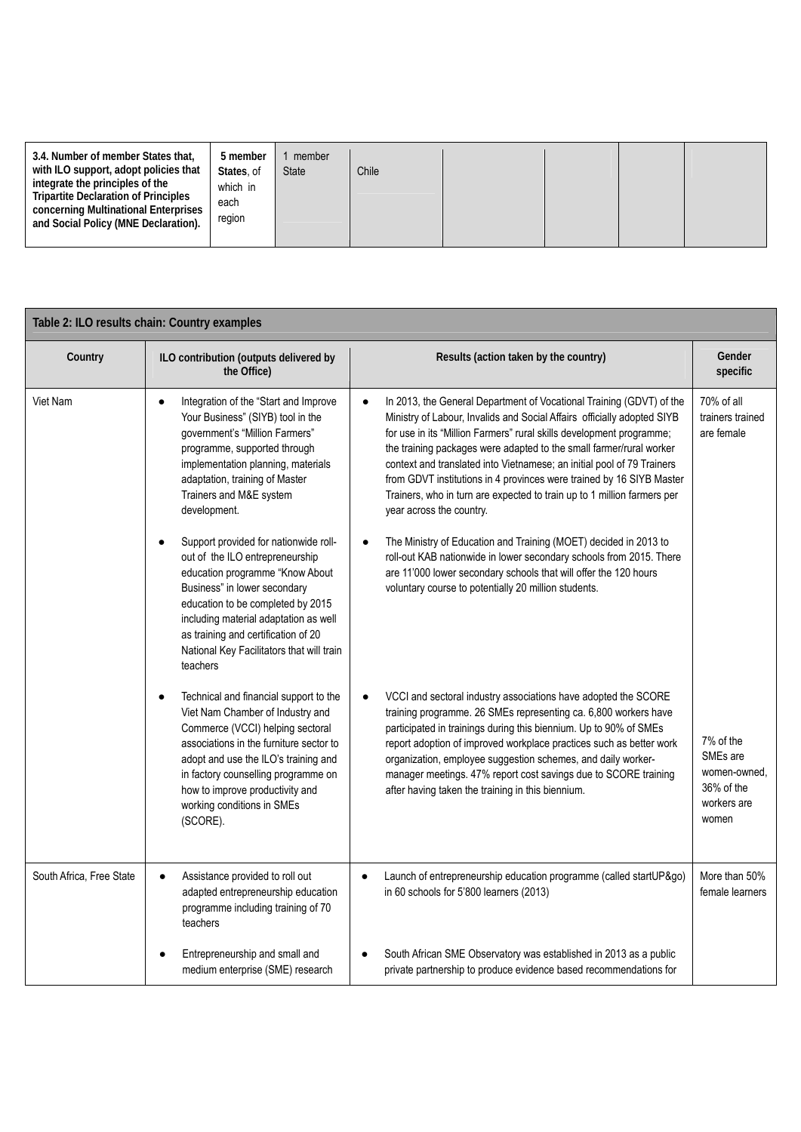| 3.4. Number of member States that,<br>with ILO support, adopt policies that<br>integrate the principles of the<br>Tripartite Declaration of Principles<br>concerning Multinational Enterprises<br>and Social Policy (MNE Declaration). | 5 member<br>member<br>States, of<br><b>State</b><br>which in<br>each<br>region | Chile |  |  |  |  |
|----------------------------------------------------------------------------------------------------------------------------------------------------------------------------------------------------------------------------------------|--------------------------------------------------------------------------------|-------|--|--|--|--|
|----------------------------------------------------------------------------------------------------------------------------------------------------------------------------------------------------------------------------------------|--------------------------------------------------------------------------------|-------|--|--|--|--|

| Table 2: ILO results chain: Country examples |                                                                                                                                                                                                                                                                                                                                        |                                                                                                                                                                                                                                                                                                                                                                                                                                                                                                                                                         |                                                                                         |
|----------------------------------------------|----------------------------------------------------------------------------------------------------------------------------------------------------------------------------------------------------------------------------------------------------------------------------------------------------------------------------------------|---------------------------------------------------------------------------------------------------------------------------------------------------------------------------------------------------------------------------------------------------------------------------------------------------------------------------------------------------------------------------------------------------------------------------------------------------------------------------------------------------------------------------------------------------------|-----------------------------------------------------------------------------------------|
| Country                                      | ILO contribution (outputs delivered by<br>the Office)                                                                                                                                                                                                                                                                                  | Results (action taken by the country)                                                                                                                                                                                                                                                                                                                                                                                                                                                                                                                   | Gender<br>specific                                                                      |
| Viet Nam                                     | Integration of the "Start and Improve<br>$\bullet$<br>Your Business" (SIYB) tool in the<br>government's "Million Farmers"<br>programme, supported through<br>implementation planning, materials<br>adaptation, training of Master<br>Trainers and M&E system<br>development.                                                           | In 2013, the General Department of Vocational Training (GDVT) of the<br>Ministry of Labour, Invalids and Social Affairs officially adopted SIYB<br>for use in its "Million Farmers" rural skills development programme;<br>the training packages were adapted to the small farmer/rural worker<br>context and translated into Vietnamese; an initial pool of 79 Trainers<br>from GDVT institutions in 4 provinces were trained by 16 SIYB Master<br>Trainers, who in turn are expected to train up to 1 million farmers per<br>year across the country. | 70% of all<br>trainers trained<br>are female                                            |
|                                              | Support provided for nationwide roll-<br>$\bullet$<br>out of the ILO entrepreneurship<br>education programme "Know About<br>Business" in lower secondary<br>education to be completed by 2015<br>including material adaptation as well<br>as training and certification of 20<br>National Key Facilitators that will train<br>teachers | The Ministry of Education and Training (MOET) decided in 2013 to<br>$\bullet$<br>roll-out KAB nationwide in lower secondary schools from 2015. There<br>are 11'000 lower secondary schools that will offer the 120 hours<br>voluntary course to potentially 20 million students.                                                                                                                                                                                                                                                                        |                                                                                         |
|                                              | Technical and financial support to the<br>$\bullet$<br>Viet Nam Chamber of Industry and<br>Commerce (VCCI) helping sectoral<br>associations in the furniture sector to<br>adopt and use the ILO's training and<br>in factory counselling programme on<br>how to improve productivity and<br>working conditions in SMEs<br>(SCORE).     | VCCI and sectoral industry associations have adopted the SCORE<br>training programme. 26 SMEs representing ca. 6,800 workers have<br>participated in trainings during this biennium. Up to 90% of SMEs<br>report adoption of improved workplace practices such as better work<br>organization, employee suggestion schemes, and daily worker-<br>manager meetings. 47% report cost savings due to SCORE training<br>after having taken the training in this biennium.                                                                                   | 7% of the<br>SME <sub>s</sub> are<br>women-owned,<br>36% of the<br>workers are<br>women |
| South Africa, Free State                     | Assistance provided to roll out<br>$\bullet$<br>adapted entrepreneurship education<br>programme including training of 70<br>teachers                                                                                                                                                                                                   | Launch of entrepreneurship education programme (called startUP&go)<br>$\bullet$<br>in 60 schools for 5'800 learners (2013)                                                                                                                                                                                                                                                                                                                                                                                                                              | More than 50%<br>female learners                                                        |
|                                              | Entrepreneurship and small and<br>medium enterprise (SME) research                                                                                                                                                                                                                                                                     | South African SME Observatory was established in 2013 as a public<br>private partnership to produce evidence based recommendations for                                                                                                                                                                                                                                                                                                                                                                                                                  |                                                                                         |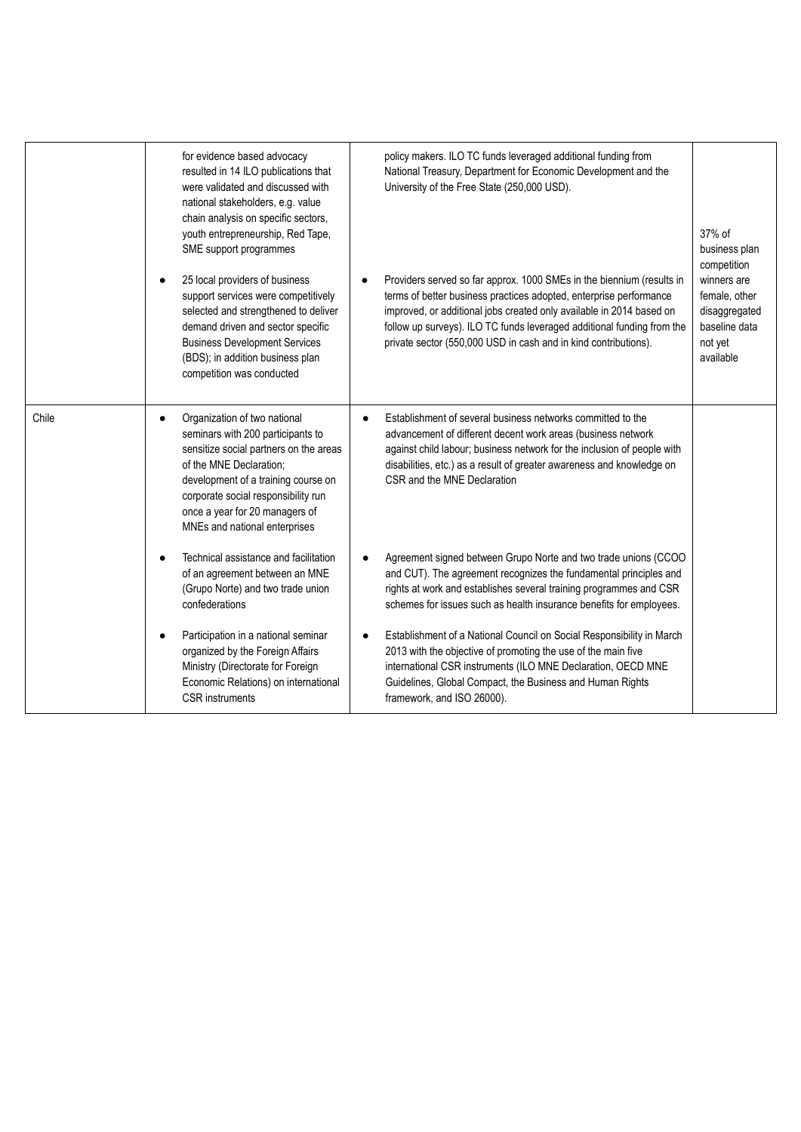|       | for evidence based advocacy<br>resulted in 14 ILO publications that<br>were validated and discussed with<br>national stakeholders, e.g. value<br>chain analysis on specific sectors,<br>youth entrepreneurship, Red Tape,<br>SME support programmes<br>25 local providers of business<br>support services were competitively<br>selected and strengthened to deliver<br>demand driven and sector specific<br><b>Business Development Services</b><br>(BDS); in addition business plan<br>competition was conducted | policy makers. ILO TC funds leveraged additional funding from<br>National Treasury, Department for Economic Development and the<br>University of the Free State (250,000 USD).<br>Providers served so far approx. 1000 SMEs in the biennium (results in<br>terms of better business practices adopted, enterprise performance<br>improved, or additional jobs created only available in 2014 based on<br>follow up surveys). ILO TC funds leveraged additional funding from the<br>private sector (550,000 USD in cash and in kind contributions). | 37% of<br>business plan<br>competition<br>winners are<br>female, other<br>disaggregated<br>baseline data<br>not yet<br>available |
|-------|--------------------------------------------------------------------------------------------------------------------------------------------------------------------------------------------------------------------------------------------------------------------------------------------------------------------------------------------------------------------------------------------------------------------------------------------------------------------------------------------------------------------|----------------------------------------------------------------------------------------------------------------------------------------------------------------------------------------------------------------------------------------------------------------------------------------------------------------------------------------------------------------------------------------------------------------------------------------------------------------------------------------------------------------------------------------------------|----------------------------------------------------------------------------------------------------------------------------------|
| Chile | Organization of two national<br>$\bullet$<br>seminars with 200 participants to<br>sensitize social partners on the areas<br>of the MNE Declaration;<br>development of a training course on<br>corporate social responsibility run<br>once a year for 20 managers of<br>MNEs and national enterprises                                                                                                                                                                                                               | Establishment of several business networks committed to the<br>advancement of different decent work areas (business network<br>against child labour; business network for the inclusion of people with<br>disabilities, etc.) as a result of greater awareness and knowledge on<br>CSR and the MNE Declaration                                                                                                                                                                                                                                     |                                                                                                                                  |
|       | Technical assistance and facilitation<br>$\epsilon$<br>of an agreement between an MNE<br>(Grupo Norte) and two trade union<br>confederations                                                                                                                                                                                                                                                                                                                                                                       | Agreement signed between Grupo Norte and two trade unions (CCOO<br>and CUT). The agreement recognizes the fundamental principles and<br>rights at work and establishes several training programmes and CSR<br>schemes for issues such as health insurance benefits for employees.                                                                                                                                                                                                                                                                  |                                                                                                                                  |
|       | Participation in a national seminar<br>organized by the Foreign Affairs<br>Ministry (Directorate for Foreign<br>Economic Relations) on international<br><b>CSR</b> instruments                                                                                                                                                                                                                                                                                                                                     | Establishment of a National Council on Social Responsibility in March<br>2013 with the objective of promoting the use of the main five<br>international CSR instruments (ILO MNE Declaration, OECD MNE<br>Guidelines, Global Compact, the Business and Human Rights<br>framework, and ISO 26000).                                                                                                                                                                                                                                                  |                                                                                                                                  |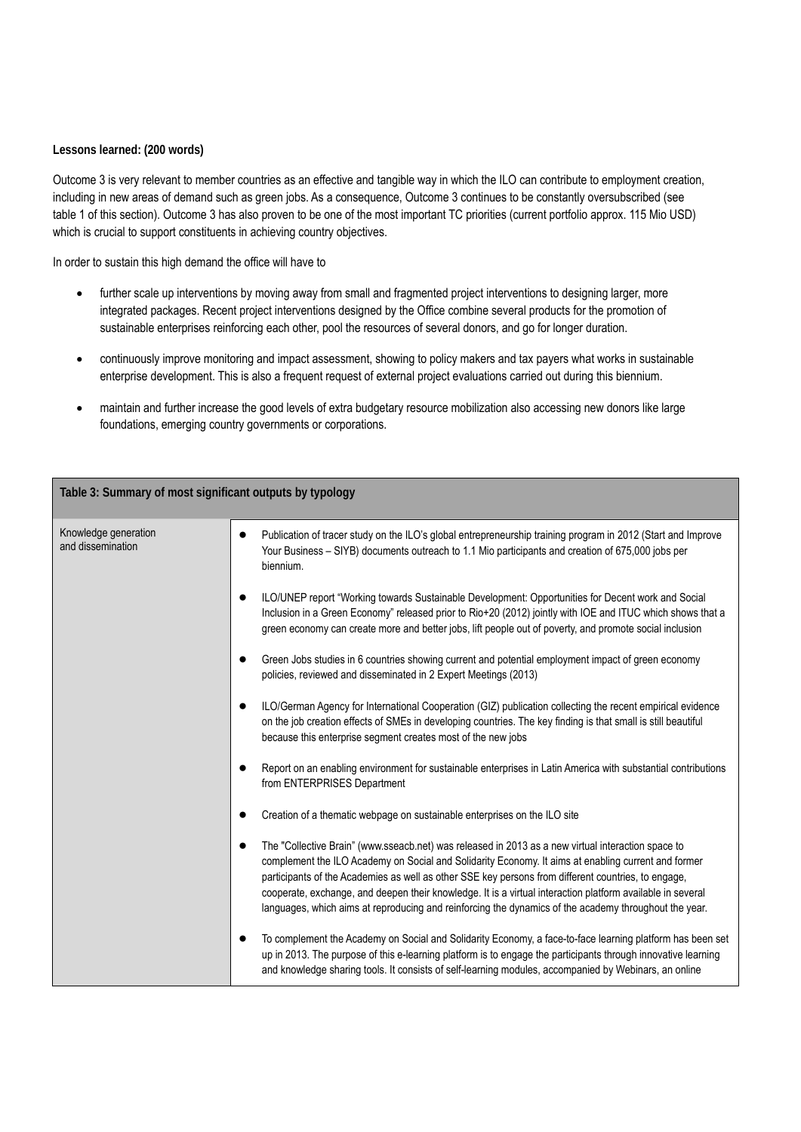## **Lessons learned: (200 words)**

Outcome 3 is very relevant to member countries as an effective and tangible way in which the ILO can contribute to employment creation, including in new areas of demand such as green jobs. As a consequence, Outcome 3 continues to be constantly oversubscribed (see table 1 of this section). Outcome 3 has also proven to be one of the most important TC priorities (current portfolio approx. 115 Mio USD) which is crucial to support constituents in achieving country objectives.

In order to sustain this high demand the office will have to

- further scale up interventions by moving away from small and fragmented project interventions to designing larger, more integrated packages. Recent project interventions designed by the Office combine several products for the promotion of sustainable enterprises reinforcing each other, pool the resources of several donors, and go for longer duration.
- continuously improve monitoring and impact assessment, showing to policy makers and tax payers what works in sustainable enterprise development. This is also a frequent request of external project evaluations carried out during this biennium.
- maintain and further increase the good levels of extra budgetary resource mobilization also accessing new donors like large foundations, emerging country governments or corporations.

| Table 3: Summary of most significant outputs by typology |                                                                                                                                                                                                                                                                                                                                                                                                                                                                                                                                                      |  |  |
|----------------------------------------------------------|------------------------------------------------------------------------------------------------------------------------------------------------------------------------------------------------------------------------------------------------------------------------------------------------------------------------------------------------------------------------------------------------------------------------------------------------------------------------------------------------------------------------------------------------------|--|--|
| Knowledge generation<br>and dissemination                | Publication of tracer study on the ILO's global entrepreneurship training program in 2012 (Start and Improve<br>Your Business - SIYB) documents outreach to 1.1 Mio participants and creation of 675,000 jobs per<br>biennium.                                                                                                                                                                                                                                                                                                                       |  |  |
|                                                          | ILO/UNEP report "Working towards Sustainable Development: Opportunities for Decent work and Social<br>$\bullet$<br>Inclusion in a Green Economy" released prior to Rio+20 (2012) jointly with IOE and ITUC which shows that a<br>green economy can create more and better jobs, lift people out of poverty, and promote social inclusion                                                                                                                                                                                                             |  |  |
|                                                          | Green Jobs studies in 6 countries showing current and potential employment impact of green economy<br>$\bullet$<br>policies, reviewed and disseminated in 2 Expert Meetings (2013)                                                                                                                                                                                                                                                                                                                                                                   |  |  |
|                                                          | ILO/German Agency for International Cooperation (GIZ) publication collecting the recent empirical evidence<br>$\bullet$<br>on the job creation effects of SMEs in developing countries. The key finding is that small is still beautiful<br>because this enterprise segment creates most of the new jobs                                                                                                                                                                                                                                             |  |  |
|                                                          | Report on an enabling environment for sustainable enterprises in Latin America with substantial contributions<br>$\bullet$<br>from ENTERPRISES Department                                                                                                                                                                                                                                                                                                                                                                                            |  |  |
|                                                          | Creation of a thematic webpage on sustainable enterprises on the ILO site                                                                                                                                                                                                                                                                                                                                                                                                                                                                            |  |  |
|                                                          | The "Collective Brain" (www.sseacb.net) was released in 2013 as a new virtual interaction space to<br>$\bullet$<br>complement the ILO Academy on Social and Solidarity Economy. It aims at enabling current and former<br>participants of the Academies as well as other SSE key persons from different countries, to engage,<br>cooperate, exchange, and deepen their knowledge. It is a virtual interaction platform available in several<br>languages, which aims at reproducing and reinforcing the dynamics of the academy throughout the year. |  |  |
|                                                          | To complement the Academy on Social and Solidarity Economy, a face-to-face learning platform has been set<br>up in 2013. The purpose of this e-learning platform is to engage the participants through innovative learning<br>and knowledge sharing tools. It consists of self-learning modules, accompanied by Webinars, an online                                                                                                                                                                                                                  |  |  |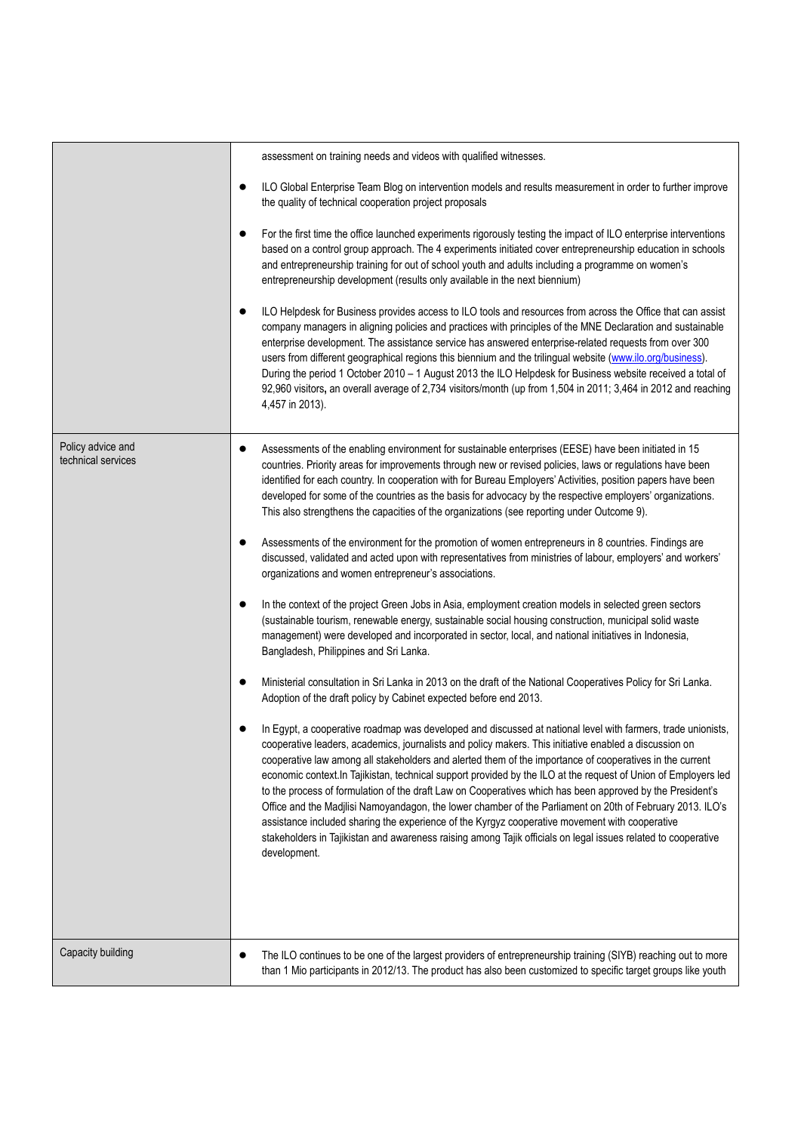|                                         | assessment on training needs and videos with qualified witnesses.                                                                                                                                                                                                                                                                                                                                                                                                                                                                                                                                                                                                                                                                                                                                                                                                                                                 |
|-----------------------------------------|-------------------------------------------------------------------------------------------------------------------------------------------------------------------------------------------------------------------------------------------------------------------------------------------------------------------------------------------------------------------------------------------------------------------------------------------------------------------------------------------------------------------------------------------------------------------------------------------------------------------------------------------------------------------------------------------------------------------------------------------------------------------------------------------------------------------------------------------------------------------------------------------------------------------|
|                                         | ILO Global Enterprise Team Blog on intervention models and results measurement in order to further improve<br>$\bullet$<br>the quality of technical cooperation project proposals                                                                                                                                                                                                                                                                                                                                                                                                                                                                                                                                                                                                                                                                                                                                 |
|                                         | For the first time the office launched experiments rigorously testing the impact of ILO enterprise interventions<br>$\bullet$<br>based on a control group approach. The 4 experiments initiated cover entrepreneurship education in schools<br>and entrepreneurship training for out of school youth and adults including a programme on women's<br>entrepreneurship development (results only available in the next biennium)                                                                                                                                                                                                                                                                                                                                                                                                                                                                                    |
|                                         | ILO Helpdesk for Business provides access to ILO tools and resources from across the Office that can assist<br>$\bullet$<br>company managers in aligning policies and practices with principles of the MNE Declaration and sustainable<br>enterprise development. The assistance service has answered enterprise-related requests from over 300<br>users from different geographical regions this biennium and the trilingual website (www.ilo.org/business).<br>During the period 1 October 2010 - 1 August 2013 the ILO Helpdesk for Business website received a total of<br>92,960 visitors, an overall average of 2,734 visitors/month (up from 1,504 in 2011; 3,464 in 2012 and reaching<br>4,457 in 2013).                                                                                                                                                                                                  |
| Policy advice and<br>technical services | Assessments of the enabling environment for sustainable enterprises (EESE) have been initiated in 15<br>$\bullet$<br>countries. Priority areas for improvements through new or revised policies, laws or regulations have been<br>identified for each country. In cooperation with for Bureau Employers' Activities, position papers have been<br>developed for some of the countries as the basis for advocacy by the respective employers' organizations.<br>This also strengthens the capacities of the organizations (see reporting under Outcome 9).                                                                                                                                                                                                                                                                                                                                                         |
|                                         | Assessments of the environment for the promotion of women entrepreneurs in 8 countries. Findings are<br>٠<br>discussed, validated and acted upon with representatives from ministries of labour, employers' and workers'<br>organizations and women entrepreneur's associations.                                                                                                                                                                                                                                                                                                                                                                                                                                                                                                                                                                                                                                  |
|                                         | In the context of the project Green Jobs in Asia, employment creation models in selected green sectors<br>$\bullet$<br>(sustainable tourism, renewable energy, sustainable social housing construction, municipal solid waste<br>management) were developed and incorporated in sector, local, and national initiatives in Indonesia,<br>Bangladesh, Philippines and Sri Lanka.                                                                                                                                                                                                                                                                                                                                                                                                                                                                                                                                   |
|                                         | Ministerial consultation in Sri Lanka in 2013 on the draft of the National Cooperatives Policy for Sri Lanka.<br>Adoption of the draft policy by Cabinet expected before end 2013.                                                                                                                                                                                                                                                                                                                                                                                                                                                                                                                                                                                                                                                                                                                                |
|                                         | In Egypt, a cooperative roadmap was developed and discussed at national level with farmers, trade unionists,<br>cooperative leaders, academics, journalists and policy makers. This initiative enabled a discussion on<br>cooperative law among all stakeholders and alerted them of the importance of cooperatives in the current<br>economic context.In Tajikistan, technical support provided by the ILO at the request of Union of Employers led<br>to the process of formulation of the draft Law on Cooperatives which has been approved by the President's<br>Office and the Madjlisi Namoyandagon, the lower chamber of the Parliament on 20th of February 2013. ILO's<br>assistance included sharing the experience of the Kyrgyz cooperative movement with cooperative<br>stakeholders in Tajikistan and awareness raising among Tajik officials on legal issues related to cooperative<br>development. |
| Capacity building                       | The ILO continues to be one of the largest providers of entrepreneurship training (SIYB) reaching out to more<br>$\bullet$<br>than 1 Mio participants in 2012/13. The product has also been customized to specific target groups like youth                                                                                                                                                                                                                                                                                                                                                                                                                                                                                                                                                                                                                                                                       |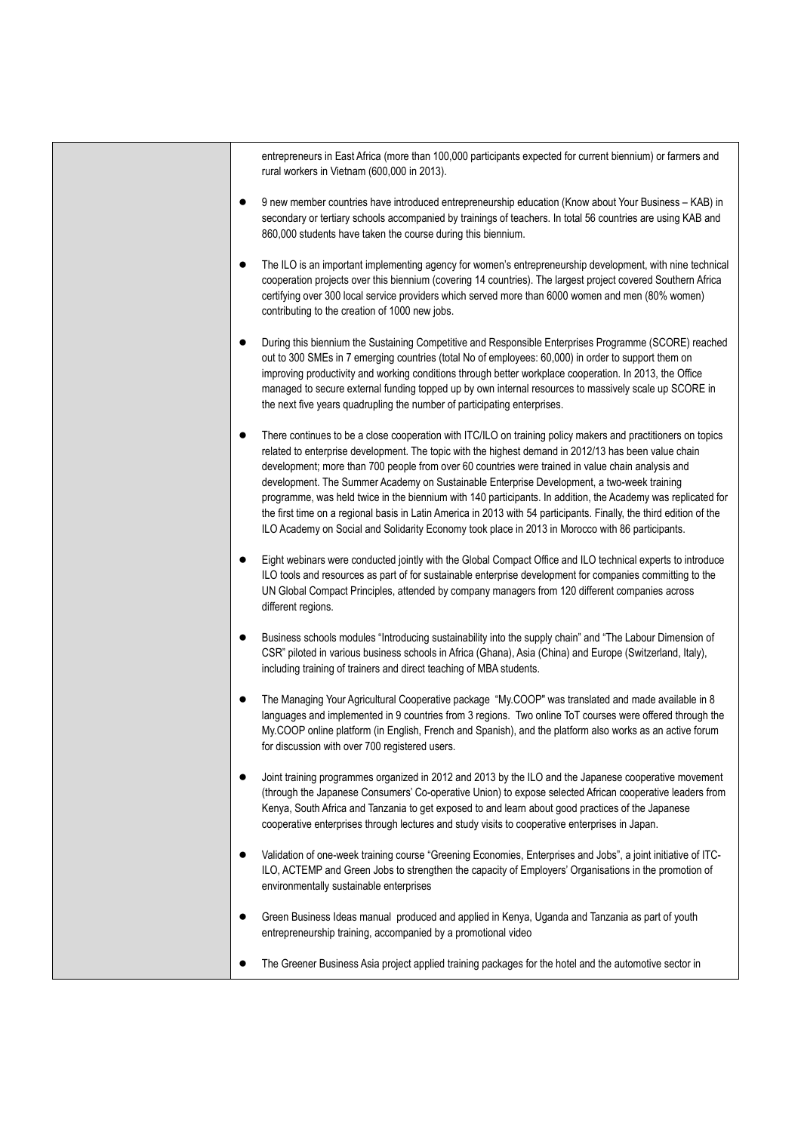entrepreneurs in East Africa (more than 100,000 participants expected for current biennium) or farmers and rural workers in Vietnam (600,000 in 2013).

- 9 new member countries have introduced entrepreneurship education (Know about Your Business KAB) in secondary or tertiary schools accompanied by trainings of teachers. In total 56 countries are using KAB and 860,000 students have taken the course during this biennium.
- The ILO is an important implementing agency for women's entrepreneurship development, with nine technical cooperation projects over this biennium (covering 14 countries). The largest project covered Southern Africa certifying over 300 local service providers which served more than 6000 women and men (80% women) contributing to the creation of 1000 new jobs.
- During this biennium the Sustaining Competitive and Responsible Enterprises Programme (SCORE) reached out to 300 SMEs in 7 emerging countries (total No of employees: 60,000) in order to support them on improving productivity and working conditions through better workplace cooperation. In 2013, the Office managed to secure external funding topped up by own internal resources to massively scale up SCORE in the next five years quadrupling the number of participating enterprises.
- There continues to be a close cooperation with ITC/ILO on training policy makers and practitioners on topics related to enterprise development. The topic with the highest demand in 2012/13 has been value chain development; more than 700 people from over 60 countries were trained in value chain analysis and development. The Summer Academy on Sustainable Enterprise Development, a two-week training programme, was held twice in the biennium with 140 participants. In addition, the Academy was replicated for the first time on a regional basis in Latin America in 2013 with 54 participants. Finally, the third edition of the ILO Academy on Social and Solidarity Economy took place in 2013 in Morocco with 86 participants.
- Eight webinars were conducted jointly with the Global Compact Office and ILO technical experts to introduce ILO tools and resources as part of for sustainable enterprise development for companies committing to the UN Global Compact Principles, attended by company managers from 120 different companies across different regions.
- Business schools modules "Introducing sustainability into the supply chain" and "The Labour Dimension of CSR" piloted in various business schools in Africa (Ghana), Asia (China) and Europe (Switzerland, Italy), including training of trainers and direct teaching of MBA students.
- The Managing Your Agricultural Cooperative package "My.COOP" was translated and made available in 8 languages and implemented in 9 countries from 3 regions. Two online ToT courses were offered through the My.COOP online platform (in English, French and Spanish), and the platform also works as an active forum for discussion with over 700 registered users.
- Joint training programmes organized in 2012 and 2013 by the ILO and the Japanese cooperative movement (through the Japanese Consumers' Co-operative Union) to expose selected African cooperative leaders from Kenya, South Africa and Tanzania to get exposed to and learn about good practices of the Japanese cooperative enterprises through lectures and study visits to cooperative enterprises in Japan.
- Validation of one-week training course "Greening Economies, Enterprises and Jobs", a joint initiative of ITC-ILO, ACTEMP and Green Jobs to strengthen the capacity of Employers' Organisations in the promotion of environmentally sustainable enterprises
- Green Business Ideas manual produced and applied in Kenya, Uganda and Tanzania as part of youth entrepreneurship training, accompanied by a promotional video
- The Greener Business Asia project applied training packages for the hotel and the automotive sector in